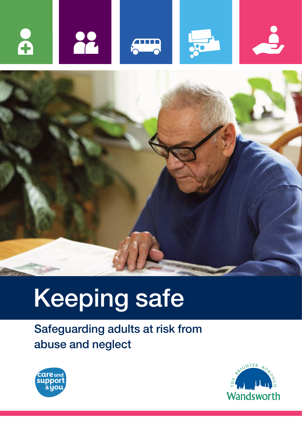



# Keeping safe

Safeguarding adults at risk from abuse and neglect



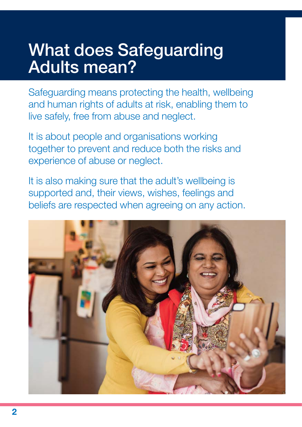# What does Safeguarding Adults mean?

Safeguarding means protecting the health, wellbeing and human rights of adults at risk, enabling them to live safely, free from abuse and neglect.

It is about people and organisations working together to prevent and reduce both the risks and experience of abuse or neglect.

It is also making sure that the adult's wellbeing is supported and, their views, wishes, feelings and beliefs are respected when agreeing on any action.

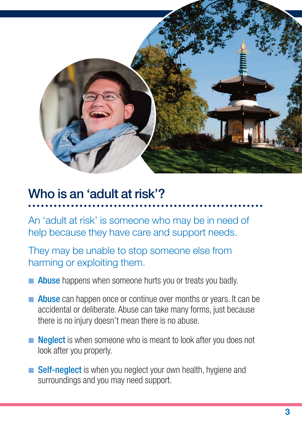

### Who is an 'adult at risk'?

An 'adult at risk' is someone who may be in need of help because they have care and support needs.

They may be unable to stop someone else from harming or exploiting them.

- **n Abuse** happens when someone hurts you or treats you badly.
- **n** Abuse can happen once or continue over months or years. It can be accidental or deliberate. Abuse can take many forms, just because there is no injury doesn't mean there is no abuse.
- **Neglect** is when someone who is meant to look after you does not look after you properly.
- **n** Self-neglect is when you neglect your own health, hygiene and surroundings and you may need support.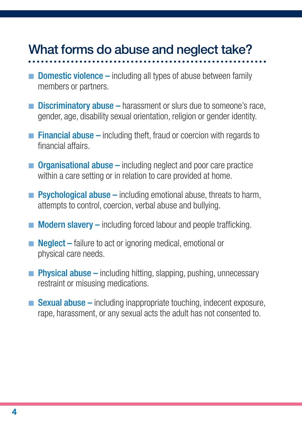### What forms do abuse and neglect take?

- **Domestic violence** including all types of abuse between family members or partners.
- **Discriminatory abuse** harassment or slurs due to someone's race, gender, age, disability sexual orientation, religion or gender identity.
- **Financial abuse –** including theft, fraud or coercion with regards to financial affairs.
- **n** Organisational abuse  $-$  including neglect and poor care practice within a care setting or in relation to care provided at home.
- **Psychological abuse** including emotional abuse, threats to harm, attempts to control, coercion, verbal abuse and bullying.
- $\blacksquare$  Modern slavery including forced labour and people trafficking.
- **Neglect** failure to act or ignoring medical, emotional or physical care needs.
- **Physical abuse –** including hitting, slapping, pushing, unnecessary restraint or misusing medications.
- **Sexual abuse** including inappropriate touching, indecent exposure, rape, harassment, or any sexual acts the adult has not consented to.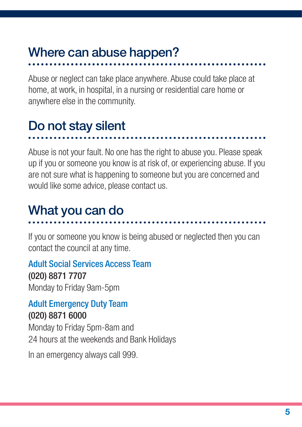### Where can abuse happen?

Abuse or neglect can take place anywhere. Abuse could take place at home, at work, in hospital, in a nursing or residential care home or anywhere else in the community.

### Do not stay silent

#### Abuse is not your fault. No one has the right to abuse you. Please speak up if you or someone you know is at risk of, or experiencing abuse. If you are not sure what is happening to someone but you are concerned and would like some advice, please contact us.

### What you can do

If you or someone you know is being abused or neglected then you can contact the council at any time.

### Adult Social Services Access Team

#### (020) 8871 7707

Monday to Friday 9am-5pm

# Adult Emergency Duty Team

(020) 8871 6000

Monday to Friday 5pm-8am and 24 hours at the weekends and Bank Holidays

In an emergency always call 999.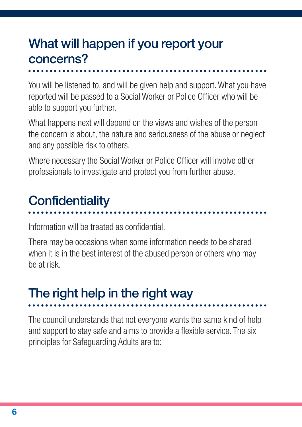### What will happen if you report your concerns?

You will be listened to, and will be given help and support. What you have reported will be passed to a Social Worker or Police Officer who will be able to support you further.

What happens next will depend on the views and wishes of the person the concern is about, the nature and seriousness of the abuse or neglect and any possible risk to others.

Where necessary the Social Worker or Police Officer will involve other professionals to investigate and protect you from further abuse.

### **Confidentiality**

Information will be treated as confidential.

There may be occasions when some information needs to be shared when it is in the best interest of the abused person or others who may be at risk.

# The right help in the right way

The council understands that not everyone wants the same kind of help and support to stay safe and aims to provide a flexible service. The six principles for Safeguarding Adults are to: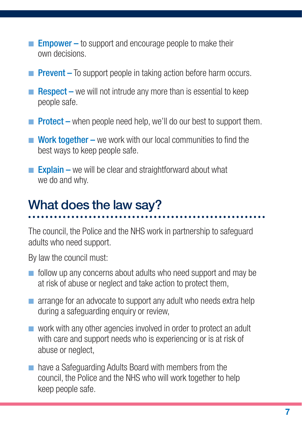- **Empower** to support and encourage people to make their own decisions.
- **Prevent** To support people in taking action before harm occurs.
- Respect we will not intrude any more than is essential to keep people safe.
- **Protect** when people need help, we'll do our best to support them.
- $\blacksquare$  Work together we work with our local communities to find the best ways to keep people safe.
- **Explain –** we will be clear and straightforward about what we do and why.

### What does the law say?

The council, the Police and the NHS work in partnership to safeguard adults who need support.

By law the council must:

- $\blacksquare$  follow up any concerns about adults who need support and may be at risk of abuse or neglect and take action to protect them,
- $\blacksquare$  arrange for an advocate to support any adult who needs extra help during a safeguarding enquiry or review,
- $\blacksquare$  work with any other agencies involved in order to protect an adult with care and support needs who is experiencing or is at risk of abuse or neglect,
- n have a Safeguarding Adults Board with members from the council, the Police and the NHS who will work together to help keep people safe.